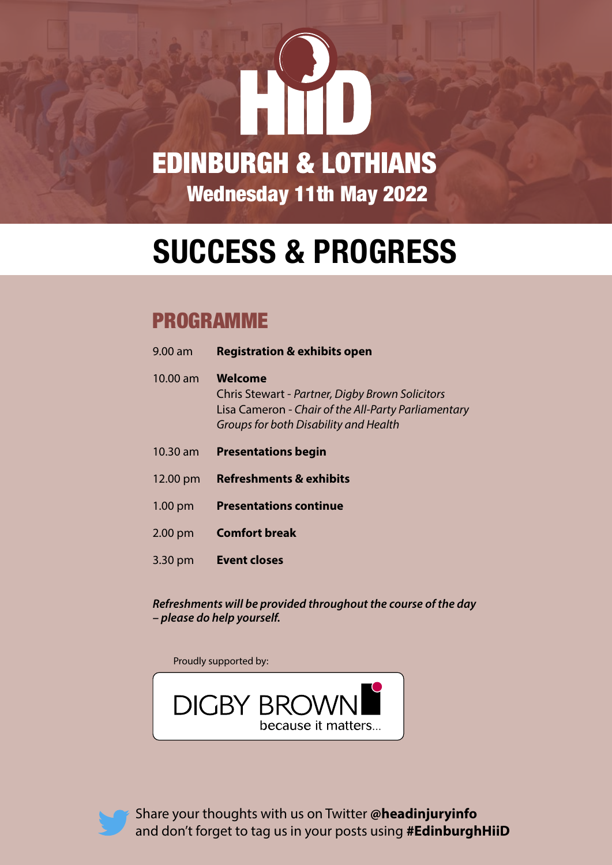

## **SUCCESS & PROGRESS**

### PROGRAMME

| 9.00 am    | <b>Registration &amp; exhibits open</b>                                                                                                                           |
|------------|-------------------------------------------------------------------------------------------------------------------------------------------------------------------|
| $10.00$ am | <b>Welcome</b><br>Chris Stewart - Partner, Digby Brown Solicitors<br>Lisa Cameron - Chair of the All-Party Parliamentary<br>Groups for both Disability and Health |
| $10.30$ am | <b>Presentations begin</b>                                                                                                                                        |
| 12.00 pm   | <b>Refreshments &amp; exhibits</b>                                                                                                                                |
| $1.00$ pm  | <b>Presentations continue</b>                                                                                                                                     |
| $2.00$ pm  | <b>Comfort break</b>                                                                                                                                              |
| 3.30 pm    | <b>Event closes</b>                                                                                                                                               |

*Refreshments will be provided throughout the course of the day – please do help yourself.*

Proudly supported by:





Share your thoughts with us on Twitter **@headinjuryinfo** and don't forget to tag us in your posts using **#EdinburghHiiD**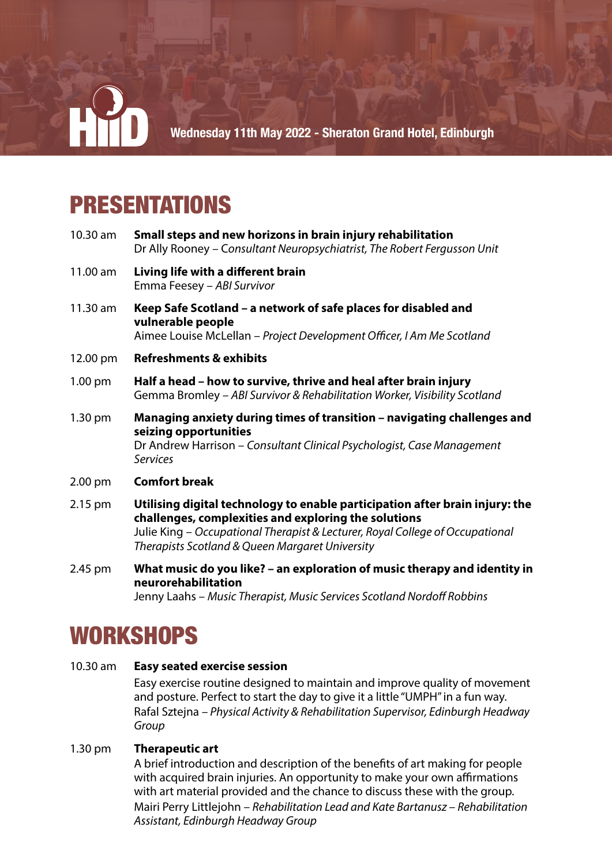

## PRESENTATIONS

10.30 am **Small steps and new horizons in brain injury rehabilitation** Dr Ally Rooney – C*onsultant Neuropsychiatrist, The Robert Fergusson Unit* 11.00 am **Living life with a different brain** Emma Feesey – *ABI Survivor*  11.30 am **Keep Safe Scotland – a network of safe places for disabled and vulnerable people**  Aimee Louise McLellan – *Project Development Officer, I Am Me Scotland*  12.00 pm **Refreshments & exhibits**  1.00 pm **Half a head – how to survive, thrive and heal after brain injury** Gemma Bromley – *ABI Survivor & Rehabilitation Worker, Visibility Scotland* 1.30 pm **Managing anxiety during times of transition – navigating challenges and seizing opportunities**  Dr Andrew Harrison – *Consultant Clinical Psychologist, Case Management Services* 2.00 pm **Comfort break**  2.15 pm **Utilising digital technology to enable participation after brain injury: the challenges, complexities and exploring the solutions**

> Julie King – *Occupational Therapist & Lecturer, Royal College of Occupational Therapists Scotland & Queen Margaret University*

2.45 pm **What music do you like? – an exploration of music therapy and identity in neurorehabilitation**

Jenny Laahs – *Music Therapist, Music Services Scotland Nordoff Robbins*

## **WORKSHOPS**

#### 10.30 am **Easy seated exercise session**

Easy exercise routine designed to maintain and improve quality of movement and posture. Perfect to start the day to give it a little "UMPH" in a fun way. Rafal Sztejna – *Physical Activity & Rehabilitation Supervisor, Edinburgh Headway Group*

#### 1.30 pm **Therapeutic art**

A brief introduction and description of the benefits of art making for people with acquired brain injuries. An opportunity to make your own affirmations with art material provided and the chance to discuss these with the group. Mairi Perry Littlejohn – *Rehabilitation Lead and Kate Bartanusz – Rehabilitation Assistant, Edinburgh Headway Group*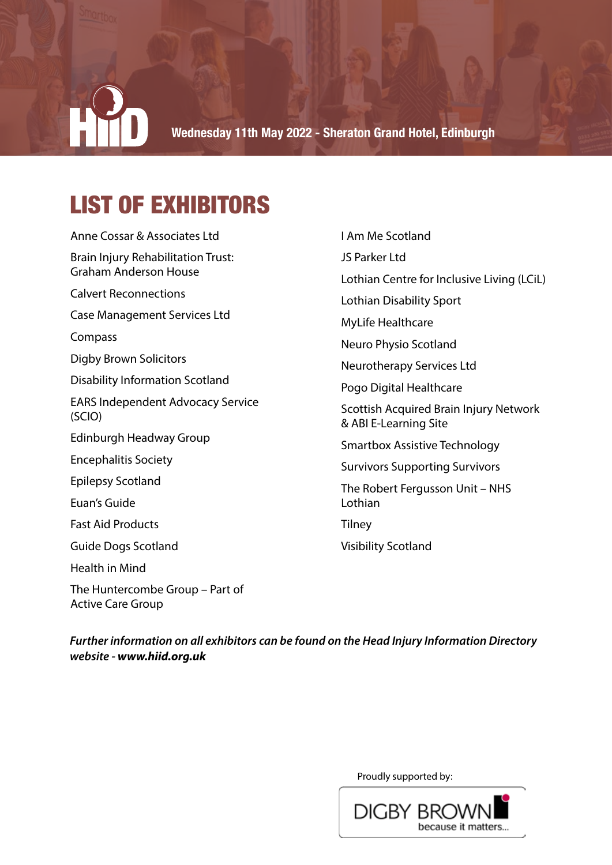# **Wednesday 11th May 2022 - Sheraton Grand Hotel, Edinburgh**

## LIST OF EXHIBITORS

Anne Cossar & Associates Ltd Brain Injury Rehabilitation Trust: Graham Anderson House Calvert Reconnections Case Management Services Ltd Compass Digby Brown Solicitors Disability Information Scotland EARS Independent Advocacy Service (SCIO) Edinburgh Headway Group Encephalitis Society Epilepsy Scotland Euan's Guide Fast Aid Products Guide Dogs Scotland Health in Mind The Huntercombe Group – Part of Active Care Group

JS Parker Ltd Lothian Centre for Inclusive Living (LCiL) Lothian Disability Sport MyLife Healthcare Neuro Physio Scotland Neurotherapy Services Ltd Pogo Digital Healthcare Scottish Acquired Brain Injury Network & ABI E-Learning Site Smartbox Assistive Technology Survivors Supporting Survivors The Robert Fergusson Unit – NHS Lothian **Tilney** Visibility Scotland

I Am Me Scotland

*Further information on all exhibitors can be found on the Head Injury Information Directory website - www.hiid.org.uk*

Proudly supported by: